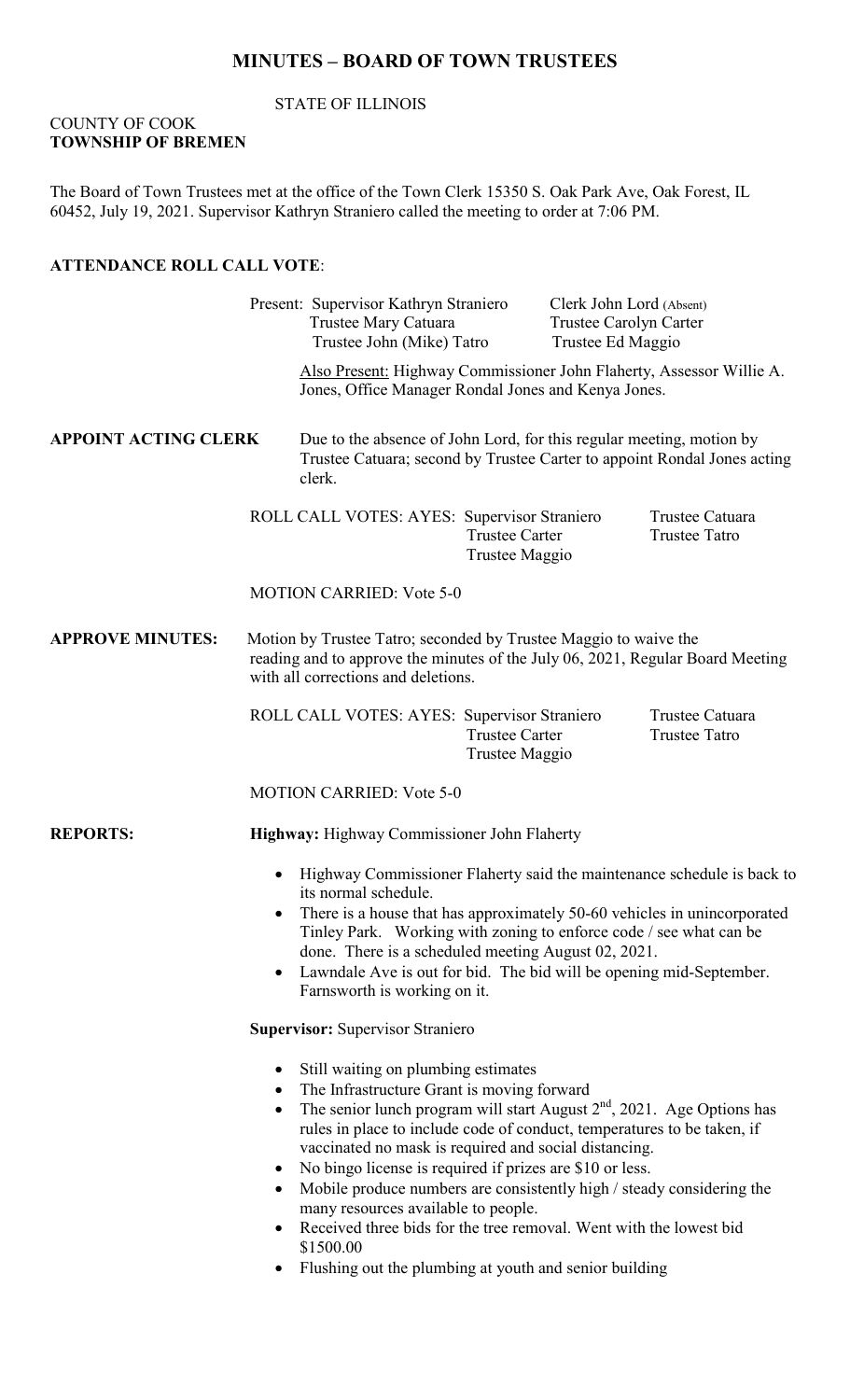# **MINUTES – BOARD OF TOWN TRUSTEES**

## STATE OF ILLINOIS

## COUNTY OF COOK **TOWNSHIP OF BREMEN**

The Board of Town Trustees met at the office of the Town Clerk 15350 S. Oak Park Ave, Oak Forest, IL 60452, July 19, 2021. Supervisor Kathryn Straniero called the meeting to order at 7:06 PM.

## **ATTENDANCE ROLL CALL VOTE**:

|                             |                                                                                                                                                                                                                                                                                                                                                                                                                                                                                                                                                                                                                                   | Present: Supervisor Kathryn Straniero<br>Trustee Mary Catuara<br>Trustee John (Mike) Tatro                                                                 |                                         | Trustee Ed Maggio                                                                                                           | Clerk John Lord (Absent)<br>Trustee Carolyn Carter |  |
|-----------------------------|-----------------------------------------------------------------------------------------------------------------------------------------------------------------------------------------------------------------------------------------------------------------------------------------------------------------------------------------------------------------------------------------------------------------------------------------------------------------------------------------------------------------------------------------------------------------------------------------------------------------------------------|------------------------------------------------------------------------------------------------------------------------------------------------------------|-----------------------------------------|-----------------------------------------------------------------------------------------------------------------------------|----------------------------------------------------|--|
|                             |                                                                                                                                                                                                                                                                                                                                                                                                                                                                                                                                                                                                                                   |                                                                                                                                                            |                                         | Also Present: Highway Commissioner John Flaherty, Assessor Willie A.<br>Jones, Office Manager Rondal Jones and Kenya Jones. |                                                    |  |
| <b>APPOINT ACTING CLERK</b> |                                                                                                                                                                                                                                                                                                                                                                                                                                                                                                                                                                                                                                   | Due to the absence of John Lord, for this regular meeting, motion by<br>Trustee Catuara; second by Trustee Carter to appoint Rondal Jones acting<br>clerk. |                                         |                                                                                                                             |                                                    |  |
|                             |                                                                                                                                                                                                                                                                                                                                                                                                                                                                                                                                                                                                                                   | ROLL CALL VOTES: AYES: Supervisor Straniero                                                                                                                | <b>Trustee Carter</b><br>Trustee Maggio |                                                                                                                             | Trustee Catuara<br><b>Trustee Tatro</b>            |  |
|                             | <b>MOTION CARRIED: Vote 5-0</b>                                                                                                                                                                                                                                                                                                                                                                                                                                                                                                                                                                                                   |                                                                                                                                                            |                                         |                                                                                                                             |                                                    |  |
| <b>APPROVE MINUTES:</b>     | Motion by Trustee Tatro; seconded by Trustee Maggio to waive the<br>reading and to approve the minutes of the July 06, 2021, Regular Board Meeting<br>with all corrections and deletions.                                                                                                                                                                                                                                                                                                                                                                                                                                         |                                                                                                                                                            |                                         |                                                                                                                             |                                                    |  |
|                             |                                                                                                                                                                                                                                                                                                                                                                                                                                                                                                                                                                                                                                   | ROLL CALL VOTES: AYES: Supervisor Straniero                                                                                                                | <b>Trustee Carter</b><br>Trustee Maggio |                                                                                                                             | Trustee Catuara<br><b>Trustee Tatro</b>            |  |
|                             |                                                                                                                                                                                                                                                                                                                                                                                                                                                                                                                                                                                                                                   | <b>MOTION CARRIED: Vote 5-0</b>                                                                                                                            |                                         |                                                                                                                             |                                                    |  |
| <b>REPORTS:</b>             | Highway: Highway Commissioner John Flaherty                                                                                                                                                                                                                                                                                                                                                                                                                                                                                                                                                                                       |                                                                                                                                                            |                                         |                                                                                                                             |                                                    |  |
|                             | Highway Commissioner Flaherty said the maintenance schedule is back to<br>$\bullet$<br>its normal schedule.<br>There is a house that has approximately 50-60 vehicles in unincorporated<br>Tinley Park. Working with zoning to enforce code / see what can be<br>done. There is a scheduled meeting August 02, 2021.<br>Lawndale Ave is out for bid. The bid will be opening mid-September.<br>$\bullet$<br>Farnsworth is working on it.                                                                                                                                                                                          |                                                                                                                                                            |                                         |                                                                                                                             |                                                    |  |
|                             | <b>Supervisor: Supervisor Straniero</b>                                                                                                                                                                                                                                                                                                                                                                                                                                                                                                                                                                                           |                                                                                                                                                            |                                         |                                                                                                                             |                                                    |  |
|                             | Still waiting on plumbing estimates<br>$\bullet$<br>The Infrastructure Grant is moving forward<br>$\bullet$<br>The senior lunch program will start August $2nd$ , 2021. Age Options has<br>$\bullet$<br>rules in place to include code of conduct, temperatures to be taken, if<br>vaccinated no mask is required and social distancing.<br>No bingo license is required if prizes are \$10 or less.<br>$\bullet$<br>Mobile produce numbers are consistently high / steady considering the<br>$\bullet$<br>many resources available to people.<br>Received three bids for the tree removal. Went with the lowest bid<br>$\bullet$ |                                                                                                                                                            |                                         |                                                                                                                             |                                                    |  |

- \$1500.00
- Flushing out the plumbing at youth and senior building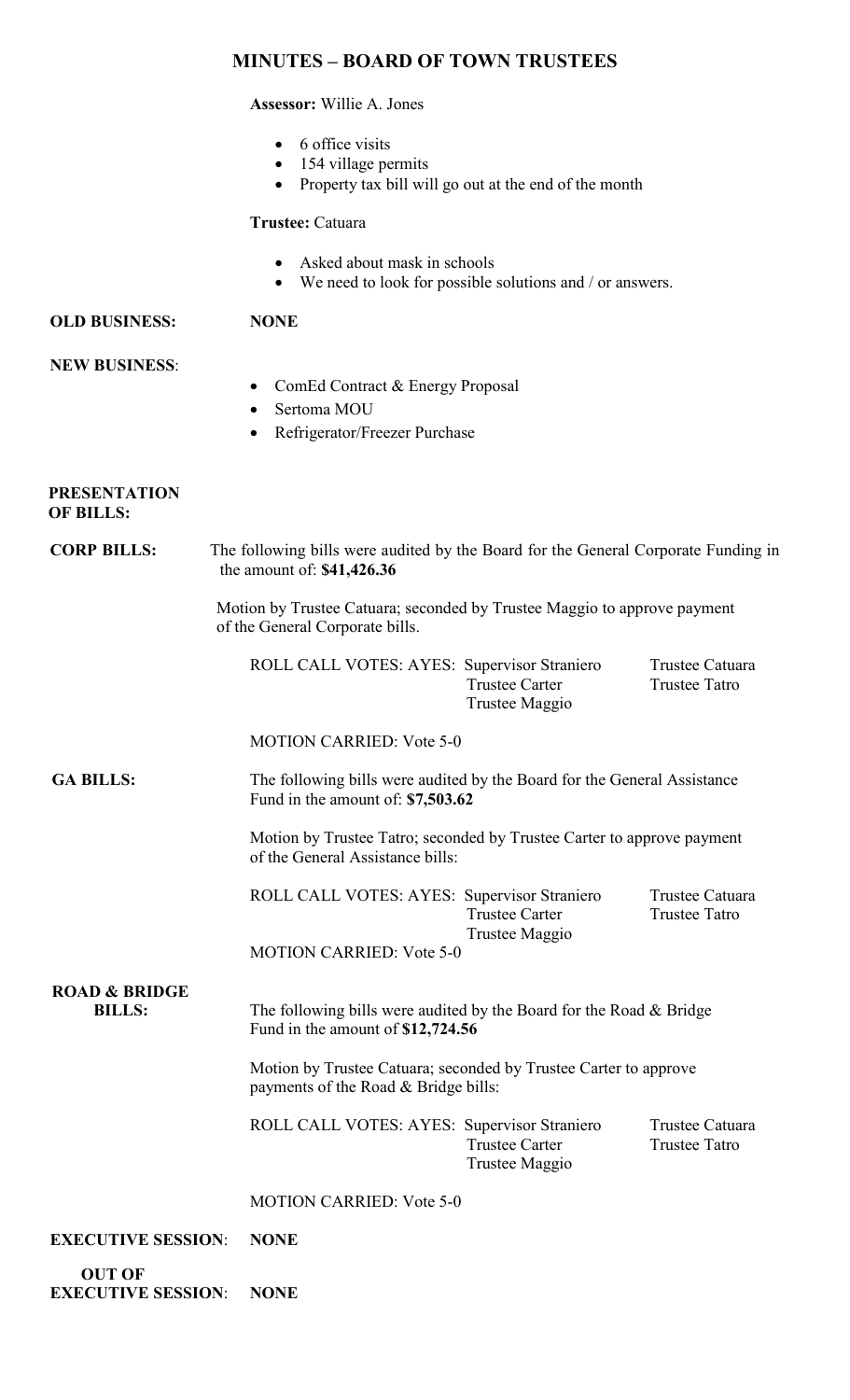## **MINUTES – BOARD OF TOWN TRUSTEES**

## **Assessor:** Willie A. Jones

- 6 office visits
- 154 village permits
- Property tax bill will go out at the end of the month

## **Trustee:** Catuara

- Asked about mask in schools
- We need to look for possible solutions and / or answers.

## **OLD BUSINESS: NONE**

## **NEW BUSINESS**:

- ComEd Contract & Energy Proposal
- Sertoma MOU
- Refrigerator/Freezer Purchase

#### **PRESENTATION OF BILLS:**

# **CORP BILLS:** The following bills were audited by the Board for the General Corporate Funding in the amount of: **\$41,426.36**

 Motion by Trustee Catuara; seconded by Trustee Maggio to approve payment of the General Corporate bills.

| ROLL CALL VOTES: AYES: Supervisor Straniero |                | Trustee Catuara |
|---------------------------------------------|----------------|-----------------|
|                                             | Trustee Carter | Trustee Tatro   |
|                                             | Trustee Maggio |                 |

## MOTION CARRIED: Vote 5-0

 **GA BILLS:** The following bills were audited by the Board for the General Assistance Fund in the amount of: **\$7,503.62**

> Motion by Trustee Tatro; seconded by Trustee Carter to approve payment of the General Assistance bills:

ROLL CALL VOTES: AYES: Supervisor Straniero Trustee Catuara Trustee Carter Trustee Tatro Trustee Maggio MOTION CARRIED: Vote 5-0

 **ROAD & BRIDGE**

**BILLS:** The following bills were audited by the Board for the Road & Bridge Fund in the amount of **\$12,724.56**

> Motion by Trustee Catuara; seconded by Trustee Carter to approve payments of the Road & Bridge bills:

ROLL CALL VOTES: AYES: Supervisor Straniero Trustee Catuara<br>Trustee Carter Trustee Tatro Trustee Carter Trustee Maggio

MOTION CARRIED: Vote 5-0

| <b>EXECUTIVE SESSION:</b> | <b>NONE</b> |
|---------------------------|-------------|
|---------------------------|-------------|

 **OUT OF EXECUTIVE SESSION**: **NONE**